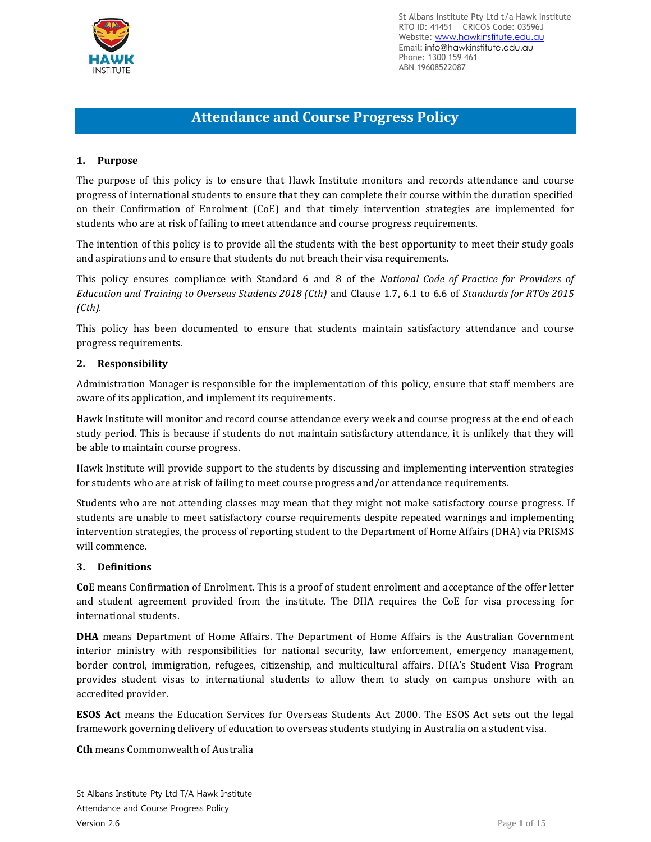

# **Attendance and Course Progress Policy**

# **1. Purpose**

The purpose of this policy is to ensure that Hawk Institute monitors and records attendance and course progress of international students to ensure that they can complete their course within the duration specified on their Confirmation of Enrolment (CoE) and that timely intervention strategies are implemented for students who are at risk of failing to meet attendance and course progress requirements.

The intention of this policy is to provide all the students with the best opportunity to meet their study goals and aspirations and to ensure that students do not breach their visa requirements.

This policy ensures compliance with Standard 6 and 8 of the *National Code of Practice for Providers of Education and Training to Overseas Students 2018 (Cth)* and Clause 1.7, 6.1 to 6.6 of *Standards for RTOs 2015 (Cth).*

This policy has been documented to ensure that students maintain satisfactory attendance and course progress requirements.

#### **2. Responsibility**

Administration Manager is responsible for the implementation of this policy, ensure that staff members are aware of its application, and implement its requirements.

Hawk Institute will monitor and record course attendance every week and course progress at the end of each study period. This is because if students do not maintain satisfactory attendance, it is unlikely that they will be able to maintain course progress.

Hawk Institute will provide support to the students by discussing and implementing intervention strategies for students who are at risk of failing to meet course progress and/or attendance requirements.

Students who are not attending classes may mean that they might not make satisfactory course progress. If students are unable to meet satisfactory course requirements despite repeated warnings and implementing intervention strategies, the process of reporting student to the Department of Home Affairs (DHA) via PRISMS will commence.

#### **3. Definitions**

**CoE** means Confirmation of Enrolment. This is a proof of student enrolment and acceptance of the offer letter and student agreement provided from the institute. The DHA requires the CoE for visa processing for international students.

**DHA** means Department of Home Affairs. The Department of Home Affairs is the Australian Government interior ministry with responsibilities for national security, law enforcement, emergency management, border control, immigration, refugees, citizenship, and multicultural affairs. DHA's Student Visa Program provides student visas to international students to allow them to study on campus onshore with an accredited provider.

**ESOS Act** means the Education Services for Overseas Students Act 2000. The ESOS Act sets out the legal framework governing delivery of education to overseas students studying in Australia on a student visa.

**Cth** means Commonwealth of Australia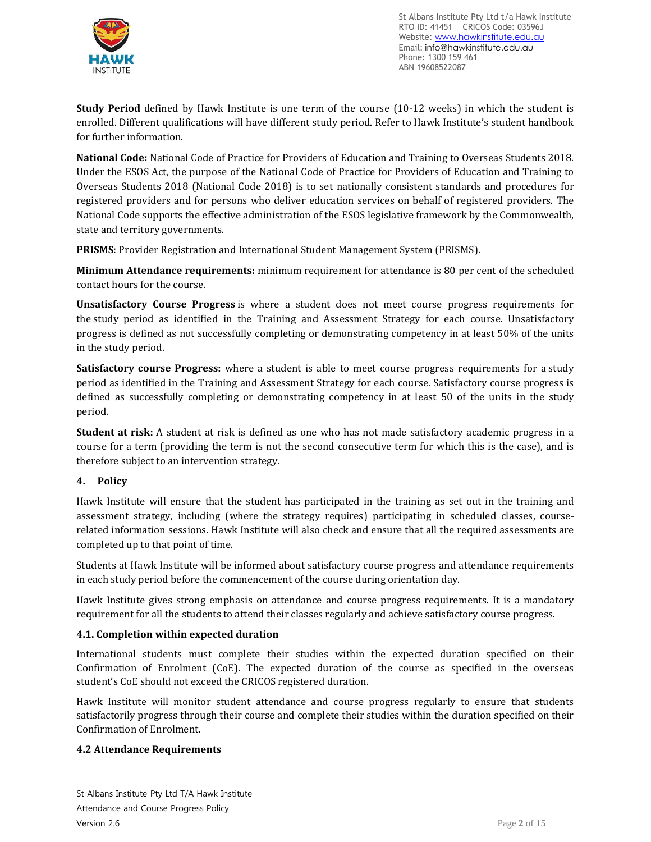

**Study Period** defined by Hawk Institute is one term of the course (10-12 weeks) in which the student is enrolled. Different qualifications will have different study period. Refer to Hawk Institute's student handbook for further information.

**National Code:** National Code of Practice for Providers of Education and Training to Overseas Students 2018. Under the ESOS Act, the purpose of the National Code of Practice for Providers of Education and Training to Overseas Students 2018 (National Code 2018) is to set nationally consistent standards and procedures for registered providers and for persons who deliver education services on behalf of registered providers. The National Code supports the effective administration of the ESOS legislative framework by the Commonwealth, state and territory governments.

**PRISMS**: Provider Registration and International Student Management System (PRISMS).

**Minimum Attendance requirements:** minimum requirement for attendance is 80 per cent of the scheduled contact hours for the course.

**Unsatisfactory Course Progress** is where a student does not meet course progress requirements for the study period as identified in the Training and Assessment Strategy for each course. Unsatisfactory progress is defined as not successfully completing or demonstrating competency in at least 50% of the units in the study period.

**Satisfactory course Progress:** where a student is able to meet course progress requirements for a study period as identified in the Training and Assessment Strategy for each course. Satisfactory course progress is defined as successfully completing or demonstrating competency in at least 50 of the units in the study period.

**Student at risk:** A student at risk is defined as one who has not made satisfactory academic progress in a course for a term (providing the term is not the second consecutive term for which this is the case), and is therefore subject to an intervention strategy.

# **4. Policy**

Hawk Institute will ensure that the student has participated in the training as set out in the training and assessment strategy, including (where the strategy requires) participating in scheduled classes, courserelated information sessions. Hawk Institute will also check and ensure that all the required assessments are completed up to that point of time.

Students at Hawk Institute will be informed about satisfactory course progress and attendance requirements in each study period before the commencement of the course during orientation day.

Hawk Institute gives strong emphasis on attendance and course progress requirements. It is a mandatory requirement for all the students to attend their classes regularly and achieve satisfactory course progress.

#### **4.1. Completion within expected duration**

International students must complete their studies within the expected duration specified on their Confirmation of Enrolment (CoE). The expected duration of the course as specified in the overseas student's CoE should not exceed the CRICOS registered duration.

Hawk Institute will monitor student attendance and course progress regularly to ensure that students satisfactorily progress through their course and complete their studies within the duration specified on their Confirmation of Enrolment.

#### **4.2 Attendance Requirements**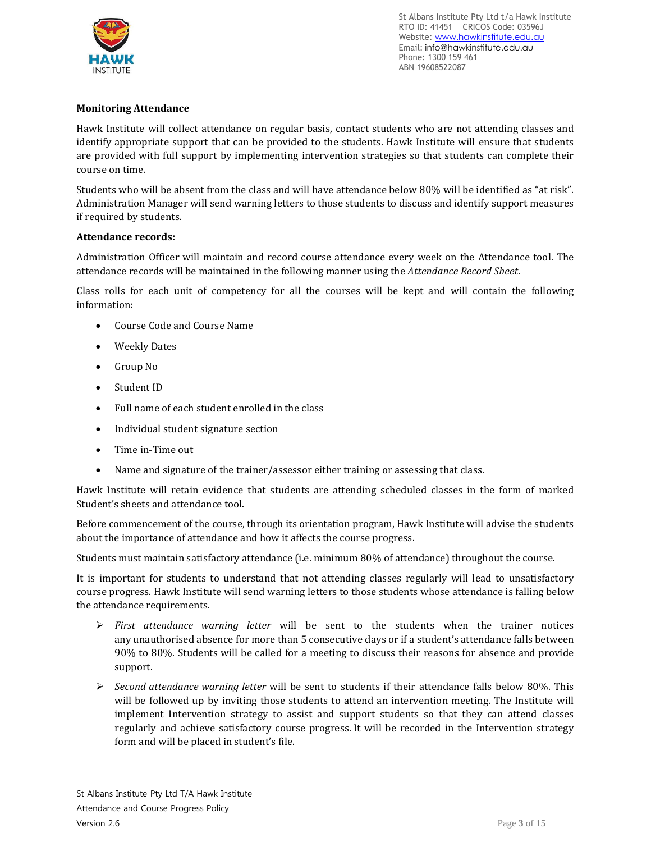

# **Monitoring Attendance**

Hawk Institute will collect attendance on regular basis, contact students who are not attending classes and identify appropriate support that can be provided to the students. Hawk Institute will ensure that students are provided with full support by implementing intervention strategies so that students can complete their course on time.

Students who will be absent from the class and will have attendance below 80% will be identified as "at risk". Administration Manager will send warning letters to those students to discuss and identify support measures if required by students.

# **Attendance records:**

Administration Officer will maintain and record course attendance every week on the Attendance tool. The attendance records will be maintained in the following manner using the *Attendance Record Sheet*.

Class rolls for each unit of competency for all the courses will be kept and will contain the following information:

- Course Code and Course Name
- Weekly Dates
- Group No
- Student ID
- Full name of each student enrolled in the class
- Individual student signature section
- Time in-Time out
- Name and signature of the trainer/assessor either training or assessing that class.

Hawk Institute will retain evidence that students are attending scheduled classes in the form of marked Student's sheets and attendance tool.

Before commencement of the course, through its orientation program, Hawk Institute will advise the students about the importance of attendance and how it affects the course progress.

Students must maintain satisfactory attendance (i.e. minimum 80% of attendance) throughout the course.

It is important for students to understand that not attending classes regularly will lead to unsatisfactory course progress. Hawk Institute will send warning letters to those students whose attendance is falling below the attendance requirements.

- ➢ *First attendance warning letter* will be sent to the students when the trainer notices any unauthorised absence for more than 5 consecutive days or if a student's attendance falls between 90% to 80%. Students will be called for a meeting to discuss their reasons for absence and provide support.
- ➢ *Second attendance warning letter* will be sent to students if their attendance falls below 80%. This will be followed up by inviting those students to attend an intervention meeting. The Institute will implement Intervention strategy to assist and support students so that they can attend classes regularly and achieve satisfactory course progress. It will be recorded in the Intervention strategy form and will be placed in student's file.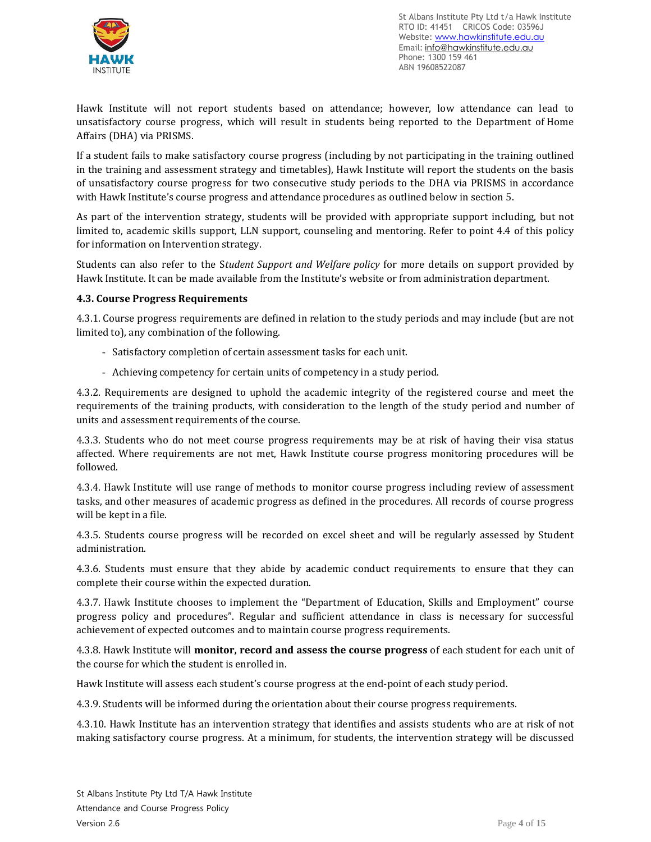

Hawk Institute will not report students based on attendance; however, low attendance can lead to unsatisfactory course progress, which will result in students being reported to the Department of Home Affairs (DHA) via PRISMS.

If a student fails to make satisfactory course progress (including by not participating in the training outlined in the training and assessment strategy and timetables), Hawk Institute will report the students on the basis of unsatisfactory course progress for two consecutive study periods to the DHA via PRISMS in accordance with Hawk Institute's course progress and attendance procedures as outlined below in section 5.

As part of the intervention strategy, students will be provided with appropriate support including, but not limited to, academic skills support, LLN support, counseling and mentoring. Refer to point 4.4 of this policy for information on Intervention strategy.

Students can also refer to the S*tudent Support and Welfare policy* for more details on support provided by Hawk Institute. It can be made available from the Institute's website or from administration department.

# **4.3. Course Progress Requirements**

4.3.1. Course progress requirements are defined in relation to the study periods and may include (but are not limited to), any combination of the following.

- Satisfactory completion of certain assessment tasks for each unit.
- Achieving competency for certain units of competency in a study period.

4.3.2. Requirements are designed to uphold the academic integrity of the registered course and meet the requirements of the training products, with consideration to the length of the study period and number of units and assessment requirements of the course.

4.3.3. Students who do not meet course progress requirements may be at risk of having their visa status affected. Where requirements are not met, Hawk Institute course progress monitoring procedures will be followed.

4.3.4. Hawk Institute will use range of methods to monitor course progress including review of assessment tasks, and other measures of academic progress as defined in the procedures. All records of course progress will be kept in a file.

4.3.5. Students course progress will be recorded on excel sheet and will be regularly assessed by Student administration.

4.3.6. Students must ensure that they abide by academic conduct requirements to ensure that they can complete their course within the expected duration.

4.3.7. Hawk Institute chooses to implement the "Department of Education, Skills and Employment" course progress policy and procedures". Regular and sufficient attendance in class is necessary for successful achievement of expected outcomes and to maintain course progress requirements.

4.3.8. Hawk Institute will **monitor, record and assess the course progress** of each student for each unit of the course for which the student is enrolled in.

Hawk Institute will assess each student's course progress at the end-point of each study period.

4.3.9. Students will be informed during the orientation about their course progress requirements.

4.3.10. Hawk Institute has an intervention strategy that identifies and assists students who are at risk of not making satisfactory course progress. At a minimum, for students, the intervention strategy will be discussed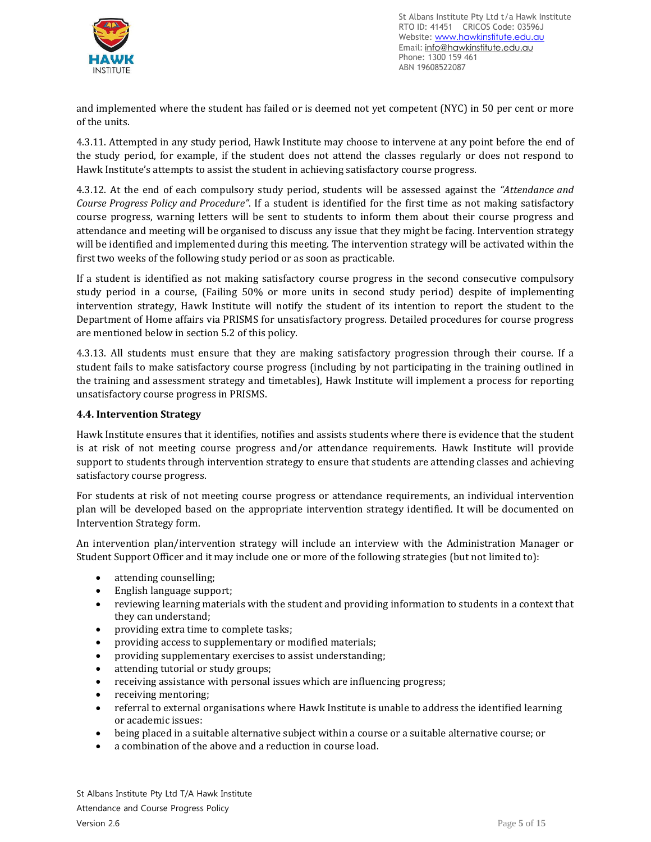

and implemented where the student has failed or is deemed not yet competent (NYC) in 50 per cent or more of the units.

4.3.11. Attempted in any study period, Hawk Institute may choose to intervene at any point before the end of the study period, for example, if the student does not attend the classes regularly or does not respond to Hawk Institute's attempts to assist the student in achieving satisfactory course progress.

4.3.12. At the end of each compulsory study period, students will be assessed against the *"Attendance and Course Progress Policy and Procedure"*. If a student is identified for the first time as not making satisfactory course progress, warning letters will be sent to students to inform them about their course progress and attendance and meeting will be organised to discuss any issue that they might be facing. Intervention strategy will be identified and implemented during this meeting. The intervention strategy will be activated within the first two weeks of the following study period or as soon as practicable.

If a student is identified as not making satisfactory course progress in the second consecutive compulsory study period in a course, (Failing 50% or more units in second study period) despite of implementing intervention strategy, Hawk Institute will notify the student of its intention to report the student to the Department of Home affairs via PRISMS for unsatisfactory progress. Detailed procedures for course progress are mentioned below in section 5.2 of this policy.

4.3.13. All students must ensure that they are making satisfactory progression through their course. If a student fails to make satisfactory course progress (including by not participating in the training outlined in the training and assessment strategy and timetables), Hawk Institute will implement a process for reporting unsatisfactory course progress in PRISMS.

#### **4.4. Intervention Strategy**

Hawk Institute ensures that it identifies, notifies and assists students where there is evidence that the student is at risk of not meeting course progress and/or attendance requirements. Hawk Institute will provide support to students through intervention strategy to ensure that students are attending classes and achieving satisfactory course progress.

For students at risk of not meeting course progress or attendance requirements, an individual intervention plan will be developed based on the appropriate intervention strategy identified. It will be documented on Intervention Strategy form.

An intervention plan/intervention strategy will include an interview with the Administration Manager or Student Support Officer and it may include one or more of the following strategies (but not limited to):

- attending counselling;
- English language support;
- reviewing learning materials with the student and providing information to students in a context that they can understand;
- providing extra time to complete tasks;
- providing access to supplementary or modified materials;
- providing supplementary exercises to assist understanding;
- attending tutorial or study groups;
- receiving assistance with personal issues which are influencing progress;
- receiving mentoring;
- referral to external organisations where Hawk Institute is unable to address the identified learning or academic issues:
- being placed in a suitable alternative subject within a course or a suitable alternative course; or
- a combination of the above and a reduction in course load.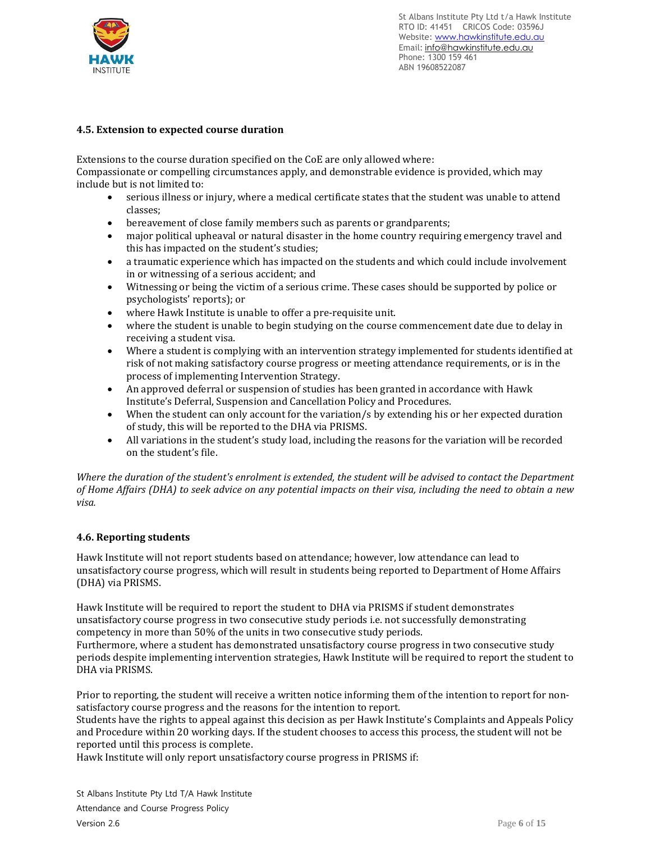

# **4.5. Extension to expected course duration**

Extensions to the course duration specified on the CoE are only allowed where:

Compassionate or compelling circumstances apply, and demonstrable evidence is provided, which may include but is not limited to:

- serious illness or injury, where a medical certificate states that the student was unable to attend classes;
- bereavement of close family members such as parents or grandparents;
- major political upheaval or natural disaster in the home country requiring emergency travel and this has impacted on the student's studies;
- a traumatic experience which has impacted on the students and which could include involvement in or witnessing of a serious accident; and
- Witnessing or being the victim of a serious crime. These cases should be supported by police or psychologists' reports); or
- where Hawk Institute is unable to offer a pre-requisite unit.
- where the student is unable to begin studying on the course commencement date due to delay in receiving a student visa.
- Where a student is complying with an intervention strategy implemented for students identified at risk of not making satisfactory course progress or meeting attendance requirements, or is in the process of implementing Intervention Strategy.
- An approved deferral or suspension of studies has been granted in accordance with Hawk Institute's Deferral, Suspension and Cancellation Policy and Procedures.
- When the student can only account for the variation/s by extending his or her expected duration of study, this will be reported to the DHA via PRISMS.
- All variations in the student's study load, including the reasons for the variation will be recorded on the student's file.

Where the duration of the student's enrolment is extended, the student will be advised to contact the Department of Home Affairs (DHA) to seek advice on any potential impacts on their visa, including the need to obtain a new *visa.*

#### **4.6. Reporting students**

Hawk Institute will not report students based on attendance; however, low attendance can lead to unsatisfactory course progress, which will result in students being reported to Department of Home Affairs (DHA) via PRISMS.

Hawk Institute will be required to report the student to DHA via PRISMS if student demonstrates unsatisfactory course progress in two consecutive study periods i.e. not successfully demonstrating competency in more than 50% of the units in two consecutive study periods.

Furthermore, where a student has demonstrated unsatisfactory course progress in two consecutive study periods despite implementing intervention strategies, Hawk Institute will be required to report the student to DHA via PRISMS.

Prior to reporting, the student will receive a written notice informing them of the intention to report for nonsatisfactory course progress and the reasons for the intention to report.

Students have the rights to appeal against this decision as per Hawk Institute's Complaints and Appeals Policy and Procedure within 20 working days. If the student chooses to access this process, the student will not be reported until this process is complete.

Hawk Institute will only report unsatisfactory course progress in PRISMS if: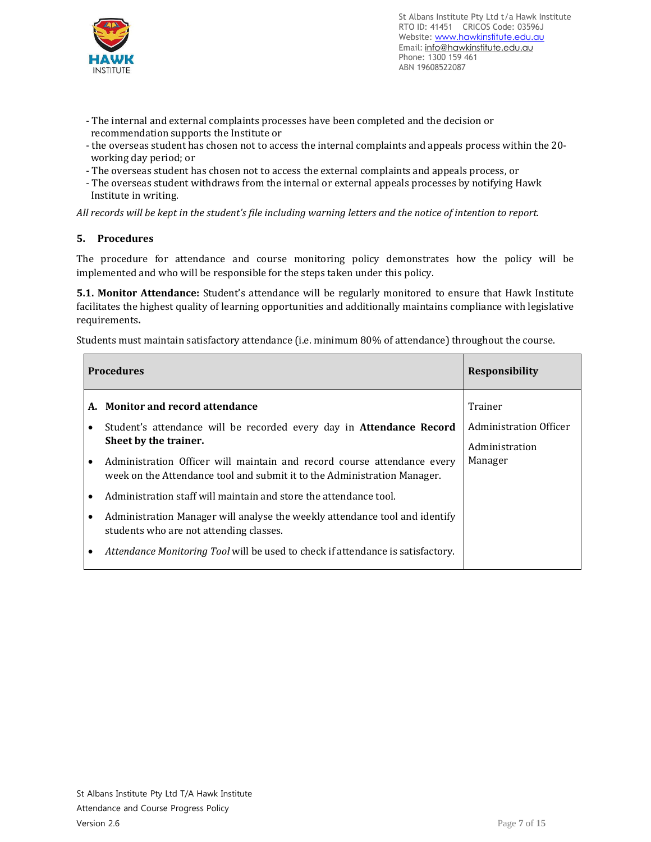

- The internal and external complaints processes have been completed and the decision or recommendation supports the Institute or
- the overseas student has chosen not to access the internal complaints and appeals process within the 20 working day period; or
- The overseas student has chosen not to access the external complaints and appeals process, or
- The overseas student withdraws from the internal or external appeals processes by notifying Hawk Institute in writing.

All records will be kept in the student's file including warning letters and the notice of intention to report.

# **5. Procedures**

The procedure for attendance and course monitoring policy demonstrates how the policy will be implemented and who will be responsible for the steps taken under this policy.

**5.1. Monitor Attendance:** Student's attendance will be regularly monitored to ensure that Hawk Institute facilitates the highest quality of learning opportunities and additionally maintains compliance with legislative requirements**.**

Students must maintain satisfactory attendance (i.e. minimum 80% of attendance) throughout the course.

| <b>Procedures</b> |           |                                                                                                                                                     | <b>Responsibility</b>                               |
|-------------------|-----------|-----------------------------------------------------------------------------------------------------------------------------------------------------|-----------------------------------------------------|
|                   |           | A. Monitor and record attendance                                                                                                                    | Trainer                                             |
|                   | ٠         | Student's attendance will be recorded every day in Attendance Record<br>Sheet by the trainer.                                                       | Administration Officer<br>Administration<br>Manager |
|                   | $\bullet$ | Administration Officer will maintain and record course attendance every<br>week on the Attendance tool and submit it to the Administration Manager. |                                                     |
|                   | ٠         | Administration staff will maintain and store the attendance tool.                                                                                   |                                                     |
|                   | ٠         | Administration Manager will analyse the weekly attendance tool and identify<br>students who are not attending classes.                              |                                                     |
|                   | ٠         | Attendance Monitoring Tool will be used to check if attendance is satisfactory.                                                                     |                                                     |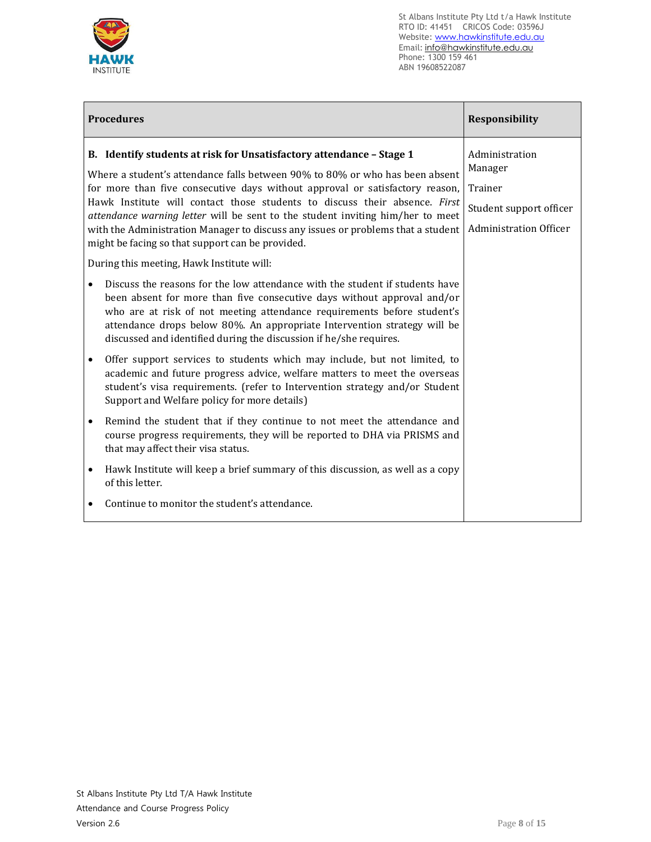

|   | <b>Procedures</b>                                                                                                                                                                                                                                                                                                                                                                                                                                                                                                                            | <b>Responsibility</b>                                                                            |
|---|----------------------------------------------------------------------------------------------------------------------------------------------------------------------------------------------------------------------------------------------------------------------------------------------------------------------------------------------------------------------------------------------------------------------------------------------------------------------------------------------------------------------------------------------|--------------------------------------------------------------------------------------------------|
|   | B. Identify students at risk for Unsatisfactory attendance - Stage 1<br>Where a student's attendance falls between 90% to 80% or who has been absent<br>for more than five consecutive days without approval or satisfactory reason,<br>Hawk Institute will contact those students to discuss their absence. First<br>attendance warning letter will be sent to the student inviting him/her to meet<br>with the Administration Manager to discuss any issues or problems that a student<br>might be facing so that support can be provided. | Administration<br>Manager<br>Trainer<br>Student support officer<br><b>Administration Officer</b> |
|   | During this meeting, Hawk Institute will:                                                                                                                                                                                                                                                                                                                                                                                                                                                                                                    |                                                                                                  |
|   | Discuss the reasons for the low attendance with the student if students have<br>been absent for more than five consecutive days without approval and/or<br>who are at risk of not meeting attendance requirements before student's<br>attendance drops below 80%. An appropriate Intervention strategy will be<br>discussed and identified during the discussion if he/she requires.                                                                                                                                                         |                                                                                                  |
|   | Offer support services to students which may include, but not limited, to<br>academic and future progress advice, welfare matters to meet the overseas<br>student's visa requirements. (refer to Intervention strategy and/or Student<br>Support and Welfare policy for more details)                                                                                                                                                                                                                                                        |                                                                                                  |
|   | Remind the student that if they continue to not meet the attendance and<br>course progress requirements, they will be reported to DHA via PRISMS and<br>that may affect their visa status.                                                                                                                                                                                                                                                                                                                                                   |                                                                                                  |
| ٠ | Hawk Institute will keep a brief summary of this discussion, as well as a copy<br>of this letter.                                                                                                                                                                                                                                                                                                                                                                                                                                            |                                                                                                  |
|   | Continue to monitor the student's attendance.                                                                                                                                                                                                                                                                                                                                                                                                                                                                                                |                                                                                                  |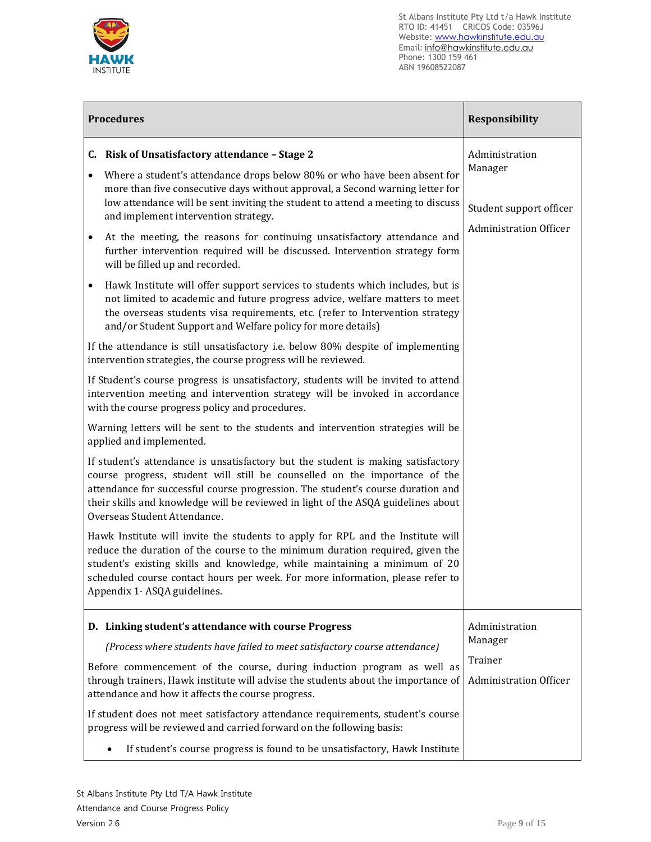

| <b>Procedures</b>                                                                                                                                                                                                                                                                                                                                                                                                                                                                                                                                                                                                                                                                                                                                                                                                                                                                                                                                                                                                                                                                                                                                                                                                                                                                                                                                                                                                                                                                                                                                                                                                                                                                                                                                                                                                                                                                                                                                                                                                                                                                                                                        | Responsibility                                                                        |
|------------------------------------------------------------------------------------------------------------------------------------------------------------------------------------------------------------------------------------------------------------------------------------------------------------------------------------------------------------------------------------------------------------------------------------------------------------------------------------------------------------------------------------------------------------------------------------------------------------------------------------------------------------------------------------------------------------------------------------------------------------------------------------------------------------------------------------------------------------------------------------------------------------------------------------------------------------------------------------------------------------------------------------------------------------------------------------------------------------------------------------------------------------------------------------------------------------------------------------------------------------------------------------------------------------------------------------------------------------------------------------------------------------------------------------------------------------------------------------------------------------------------------------------------------------------------------------------------------------------------------------------------------------------------------------------------------------------------------------------------------------------------------------------------------------------------------------------------------------------------------------------------------------------------------------------------------------------------------------------------------------------------------------------------------------------------------------------------------------------------------------------|---------------------------------------------------------------------------------------|
| C. Risk of Unsatisfactory attendance - Stage 2<br>Where a student's attendance drops below 80% or who have been absent for<br>$\bullet$<br>more than five consecutive days without approval, a Second warning letter for<br>low attendance will be sent inviting the student to attend a meeting to discuss<br>and implement intervention strategy.<br>At the meeting, the reasons for continuing unsatisfactory attendance and<br>$\bullet$<br>further intervention required will be discussed. Intervention strategy form<br>will be filled up and recorded.<br>Hawk Institute will offer support services to students which includes, but is<br>$\bullet$<br>not limited to academic and future progress advice, welfare matters to meet<br>the overseas students visa requirements, etc. (refer to Intervention strategy<br>and/or Student Support and Welfare policy for more details)<br>If the attendance is still unsatisfactory i.e. below 80% despite of implementing<br>intervention strategies, the course progress will be reviewed.<br>If Student's course progress is unsatisfactory, students will be invited to attend<br>intervention meeting and intervention strategy will be invoked in accordance<br>with the course progress policy and procedures.<br>Warning letters will be sent to the students and intervention strategies will be<br>applied and implemented.<br>If student's attendance is unsatisfactory but the student is making satisfactory<br>course progress, student will still be counselled on the importance of the<br>attendance for successful course progression. The student's course duration and<br>their skills and knowledge will be reviewed in light of the ASQA guidelines about<br>Overseas Student Attendance.<br>Hawk Institute will invite the students to apply for RPL and the Institute will<br>reduce the duration of the course to the minimum duration required, given the<br>student's existing skills and knowledge, while maintaining a minimum of 20<br>scheduled course contact hours per week. For more information, please refer to<br>Appendix 1- ASQA guidelines. | Administration<br>Manager<br>Student support officer<br><b>Administration Officer</b> |
| D. Linking student's attendance with course Progress<br>(Process where students have failed to meet satisfactory course attendance)<br>Before commencement of the course, during induction program as well as<br>through trainers, Hawk institute will advise the students about the importance of<br>attendance and how it affects the course progress.<br>If student does not meet satisfactory attendance requirements, student's course<br>progress will be reviewed and carried forward on the following basis:                                                                                                                                                                                                                                                                                                                                                                                                                                                                                                                                                                                                                                                                                                                                                                                                                                                                                                                                                                                                                                                                                                                                                                                                                                                                                                                                                                                                                                                                                                                                                                                                                     | Administration<br>Manager<br>Trainer<br><b>Administration Officer</b>                 |
| If student's course progress is found to be unsatisfactory, Hawk Institute                                                                                                                                                                                                                                                                                                                                                                                                                                                                                                                                                                                                                                                                                                                                                                                                                                                                                                                                                                                                                                                                                                                                                                                                                                                                                                                                                                                                                                                                                                                                                                                                                                                                                                                                                                                                                                                                                                                                                                                                                                                               |                                                                                       |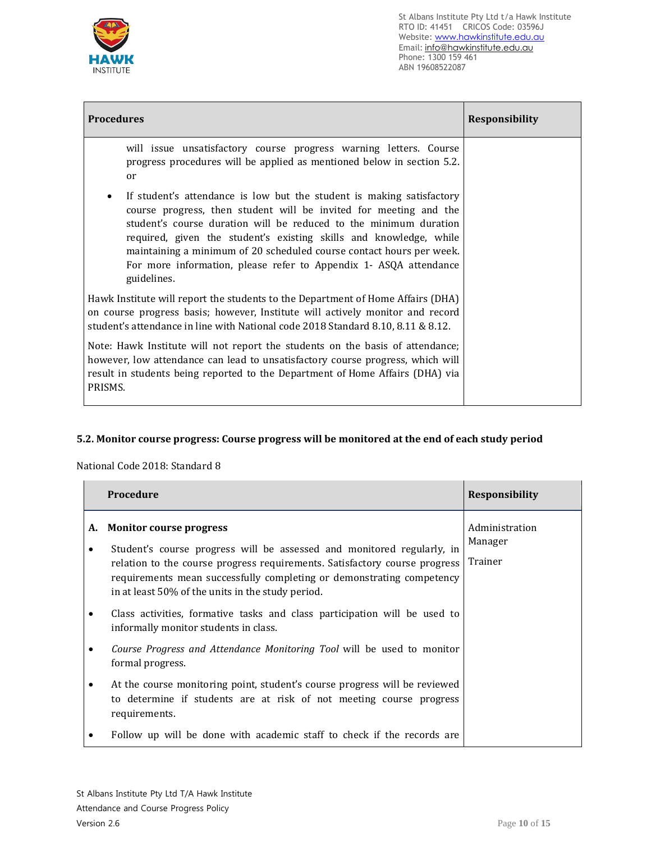

| <b>Procedures</b>                                                                                                                                                                                                                                                                                                                                                                                                                                      | <b>Responsibility</b> |
|--------------------------------------------------------------------------------------------------------------------------------------------------------------------------------------------------------------------------------------------------------------------------------------------------------------------------------------------------------------------------------------------------------------------------------------------------------|-----------------------|
| will issue unsatisfactory course progress warning letters. Course<br>progress procedures will be applied as mentioned below in section 5.2.<br>or                                                                                                                                                                                                                                                                                                      |                       |
| If student's attendance is low but the student is making satisfactory<br>٠<br>course progress, then student will be invited for meeting and the<br>student's course duration will be reduced to the minimum duration<br>required, given the student's existing skills and knowledge, while<br>maintaining a minimum of 20 scheduled course contact hours per week.<br>For more information, please refer to Appendix 1- ASQA attendance<br>guidelines. |                       |
| Hawk Institute will report the students to the Department of Home Affairs (DHA)<br>on course progress basis; however, Institute will actively monitor and record<br>student's attendance in line with National code 2018 Standard 8.10, 8.11 & 8.12.                                                                                                                                                                                                   |                       |
| Note: Hawk Institute will not report the students on the basis of attendance;<br>however, low attendance can lead to unsatisfactory course progress, which will<br>result in students being reported to the Department of Home Affairs (DHA) via<br>PRISMS.                                                                                                                                                                                            |                       |

# **5.2. Monitor course progress: Course progress will be monitored at the end of each study period**

National Code 2018: Standard 8

|   | Procedure                                                                                                                                                                                                                                                                                                        | <b>Responsibility</b>                |
|---|------------------------------------------------------------------------------------------------------------------------------------------------------------------------------------------------------------------------------------------------------------------------------------------------------------------|--------------------------------------|
|   | A. Monitor course progress<br>Student's course progress will be assessed and monitored regularly, in<br>relation to the course progress requirements. Satisfactory course progress<br>requirements mean successfully completing or demonstrating competency<br>in at least 50% of the units in the study period. | Administration<br>Manager<br>Trainer |
|   | Class activities, formative tasks and class participation will be used to<br>informally monitor students in class.                                                                                                                                                                                               |                                      |
|   | Course Progress and Attendance Monitoring Tool will be used to monitor<br>formal progress.                                                                                                                                                                                                                       |                                      |
| ٠ | At the course monitoring point, student's course progress will be reviewed<br>to determine if students are at risk of not meeting course progress<br>requirements.                                                                                                                                               |                                      |
|   | Follow up will be done with academic staff to check if the records are                                                                                                                                                                                                                                           |                                      |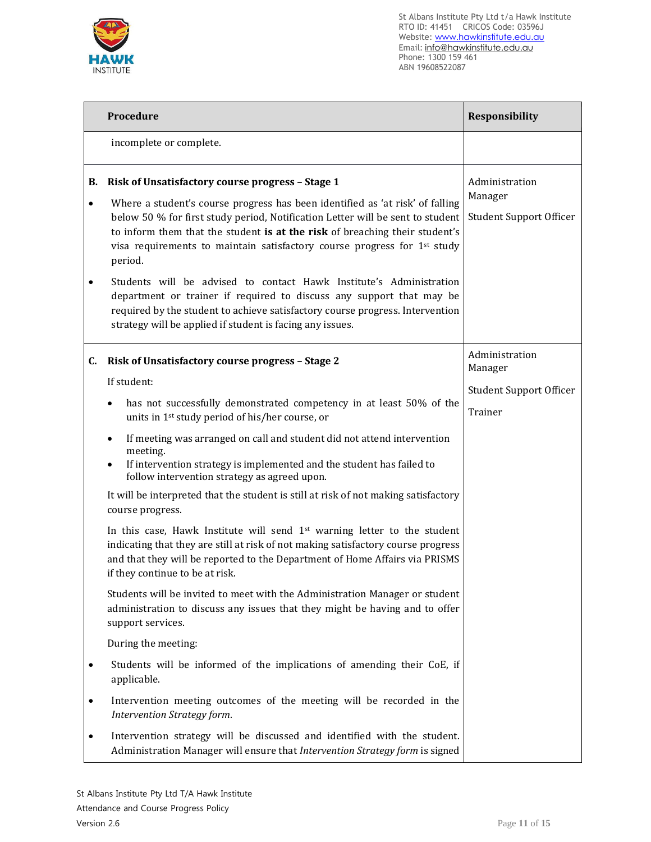

|                 | Procedure                                                                                                                                                                                                                                                                                                                                                                                 | Responsibility                                              |
|-----------------|-------------------------------------------------------------------------------------------------------------------------------------------------------------------------------------------------------------------------------------------------------------------------------------------------------------------------------------------------------------------------------------------|-------------------------------------------------------------|
|                 | incomplete or complete.                                                                                                                                                                                                                                                                                                                                                                   |                                                             |
| В.<br>$\bullet$ | Risk of Unsatisfactory course progress - Stage 1<br>Where a student's course progress has been identified as 'at risk' of falling<br>below 50 % for first study period, Notification Letter will be sent to student<br>to inform them that the student is at the risk of breaching their student's<br>visa requirements to maintain satisfactory course progress for 1st study<br>period. | Administration<br>Manager<br><b>Student Support Officer</b> |
|                 | Students will be advised to contact Hawk Institute's Administration<br>department or trainer if required to discuss any support that may be<br>required by the student to achieve satisfactory course progress. Intervention<br>strategy will be applied if student is facing any issues.                                                                                                 |                                                             |
| C.              | Risk of Unsatisfactory course progress - Stage 2                                                                                                                                                                                                                                                                                                                                          | Administration<br>Manager                                   |
|                 | If student:                                                                                                                                                                                                                                                                                                                                                                               | <b>Student Support Officer</b>                              |
|                 | has not successfully demonstrated competency in at least 50% of the<br>units in 1 <sup>st</sup> study period of his/her course, or                                                                                                                                                                                                                                                        | Trainer                                                     |
|                 | If meeting was arranged on call and student did not attend intervention<br>$\bullet$<br>meeting.<br>If intervention strategy is implemented and the student has failed to<br>follow intervention strategy as agreed upon.                                                                                                                                                                 |                                                             |
|                 | It will be interpreted that the student is still at risk of not making satisfactory<br>course progress.                                                                                                                                                                                                                                                                                   |                                                             |
|                 | In this case, Hawk Institute will send 1 <sup>st</sup> warning letter to the student<br>indicating that they are still at risk of not making satisfactory course progress<br>and that they will be reported to the Department of Home Affairs via PRISMS<br>if they continue to be at risk.                                                                                               |                                                             |
|                 | Students will be invited to meet with the Administration Manager or student<br>administration to discuss any issues that they might be having and to offer<br>support services.                                                                                                                                                                                                           |                                                             |
|                 | During the meeting:                                                                                                                                                                                                                                                                                                                                                                       |                                                             |
| $\bullet$       | Students will be informed of the implications of amending their CoE, if<br>applicable.                                                                                                                                                                                                                                                                                                    |                                                             |
| $\bullet$       | Intervention meeting outcomes of the meeting will be recorded in the<br>Intervention Strategy form.                                                                                                                                                                                                                                                                                       |                                                             |
| ٠               | Intervention strategy will be discussed and identified with the student.<br>Administration Manager will ensure that Intervention Strategy form is signed                                                                                                                                                                                                                                  |                                                             |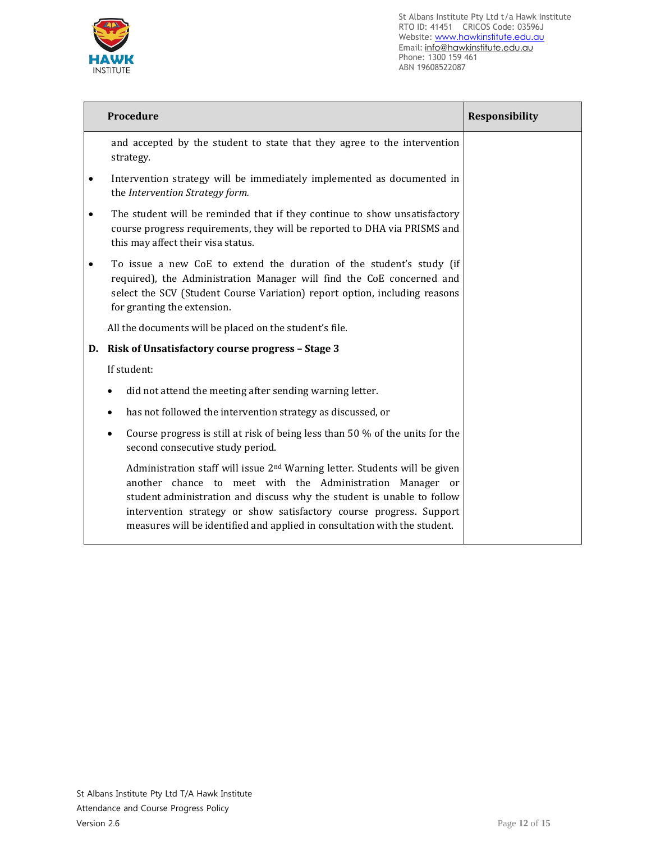

|           | Procedure                                                                                                                                                                                                                                                                                                                                                                         | <b>Responsibility</b> |
|-----------|-----------------------------------------------------------------------------------------------------------------------------------------------------------------------------------------------------------------------------------------------------------------------------------------------------------------------------------------------------------------------------------|-----------------------|
|           | and accepted by the student to state that they agree to the intervention<br>strategy.                                                                                                                                                                                                                                                                                             |                       |
| ٠         | Intervention strategy will be immediately implemented as documented in<br>the Intervention Strategy form.                                                                                                                                                                                                                                                                         |                       |
| $\bullet$ | The student will be reminded that if they continue to show unsatisfactory<br>course progress requirements, they will be reported to DHA via PRISMS and<br>this may affect their visa status.                                                                                                                                                                                      |                       |
|           | To issue a new CoE to extend the duration of the student's study (if<br>required), the Administration Manager will find the CoE concerned and<br>select the SCV (Student Course Variation) report option, including reasons<br>for granting the extension.                                                                                                                        |                       |
|           | All the documents will be placed on the student's file.                                                                                                                                                                                                                                                                                                                           |                       |
| D.        | <b>Risk of Unsatisfactory course progress - Stage 3</b>                                                                                                                                                                                                                                                                                                                           |                       |
|           | If student:                                                                                                                                                                                                                                                                                                                                                                       |                       |
|           | did not attend the meeting after sending warning letter.<br>$\bullet$                                                                                                                                                                                                                                                                                                             |                       |
|           | has not followed the intervention strategy as discussed, or                                                                                                                                                                                                                                                                                                                       |                       |
|           | Course progress is still at risk of being less than 50 % of the units for the<br>$\bullet$<br>second consecutive study period.                                                                                                                                                                                                                                                    |                       |
|           | Administration staff will issue 2 <sup>nd</sup> Warning letter. Students will be given<br>another chance to meet with the Administration Manager or<br>student administration and discuss why the student is unable to follow<br>intervention strategy or show satisfactory course progress. Support<br>measures will be identified and applied in consultation with the student. |                       |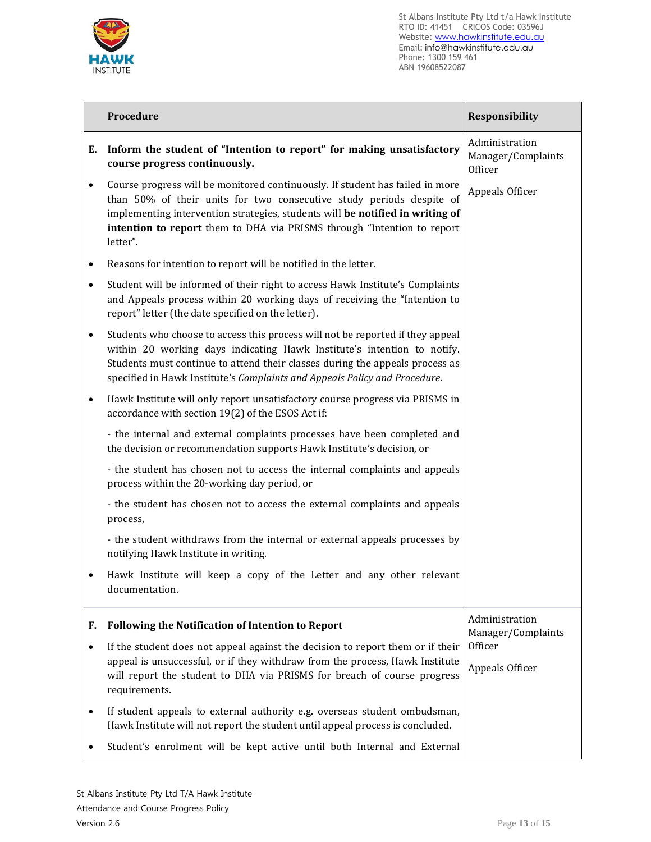

|           | Procedure                                                                                                                                                                                                                                                                                                                     | Responsibility                                  |
|-----------|-------------------------------------------------------------------------------------------------------------------------------------------------------------------------------------------------------------------------------------------------------------------------------------------------------------------------------|-------------------------------------------------|
| Е.        | Inform the student of "Intention to report" for making unsatisfactory<br>course progress continuously.                                                                                                                                                                                                                        | Administration<br>Manager/Complaints<br>Officer |
| $\bullet$ | Course progress will be monitored continuously. If student has failed in more<br>than 50% of their units for two consecutive study periods despite of<br>implementing intervention strategies, students will be notified in writing of<br>intention to report them to DHA via PRISMS through "Intention to report<br>letter". | Appeals Officer                                 |
| $\bullet$ | Reasons for intention to report will be notified in the letter.                                                                                                                                                                                                                                                               |                                                 |
| $\bullet$ | Student will be informed of their right to access Hawk Institute's Complaints<br>and Appeals process within 20 working days of receiving the "Intention to<br>report" letter (the date specified on the letter).                                                                                                              |                                                 |
| $\bullet$ | Students who choose to access this process will not be reported if they appeal<br>within 20 working days indicating Hawk Institute's intention to notify.<br>Students must continue to attend their classes during the appeals process as<br>specified in Hawk Institute's Complaints and Appeals Policy and Procedure.       |                                                 |
| $\bullet$ | Hawk Institute will only report unsatisfactory course progress via PRISMS in<br>accordance with section 19(2) of the ESOS Act if:                                                                                                                                                                                             |                                                 |
|           | - the internal and external complaints processes have been completed and<br>the decision or recommendation supports Hawk Institute's decision, or                                                                                                                                                                             |                                                 |
|           | - the student has chosen not to access the internal complaints and appeals<br>process within the 20-working day period, or                                                                                                                                                                                                    |                                                 |
|           | - the student has chosen not to access the external complaints and appeals<br>process,                                                                                                                                                                                                                                        |                                                 |
|           | - the student withdraws from the internal or external appeals processes by<br>notifying Hawk Institute in writing.                                                                                                                                                                                                            |                                                 |
|           | Hawk Institute will keep a copy of the Letter and any other relevant<br>documentation.                                                                                                                                                                                                                                        |                                                 |
| F.        | <b>Following the Notification of Intention to Report</b>                                                                                                                                                                                                                                                                      | Administration<br>Manager/Complaints            |
| $\bullet$ | If the student does not appeal against the decision to report them or if their                                                                                                                                                                                                                                                | Officer                                         |
|           | appeal is unsuccessful, or if they withdraw from the process, Hawk Institute<br>will report the student to DHA via PRISMS for breach of course progress<br>requirements.                                                                                                                                                      | Appeals Officer                                 |
|           | If student appeals to external authority e.g. overseas student ombudsman,<br>Hawk Institute will not report the student until appeal process is concluded.                                                                                                                                                                    |                                                 |
|           | Student's enrolment will be kept active until both Internal and External                                                                                                                                                                                                                                                      |                                                 |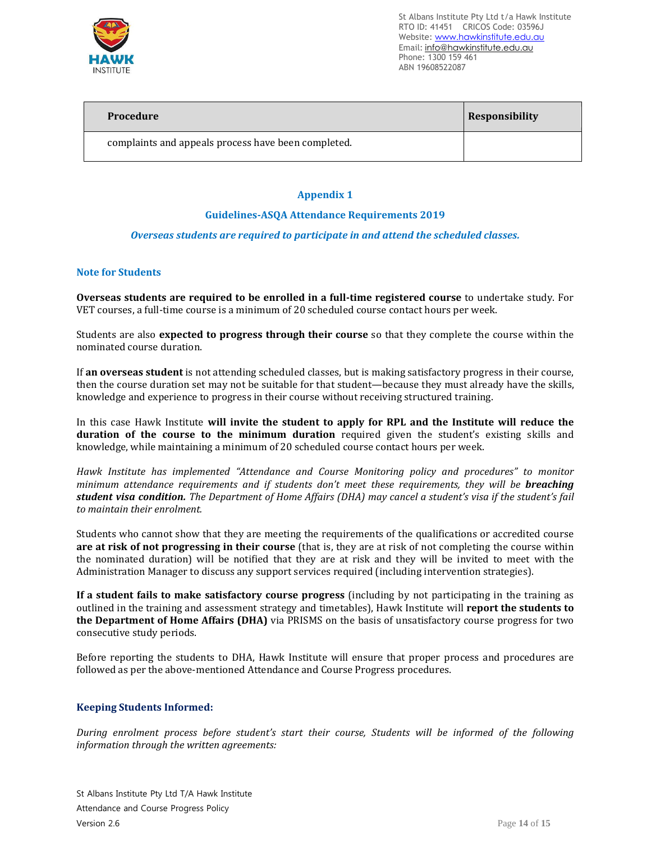

| Procedure                                           | <b>Responsibility</b> |
|-----------------------------------------------------|-----------------------|
| complaints and appeals process have been completed. |                       |

# **Appendix 1**

#### **Guidelines-ASQA Attendance Requirements 2019**

#### *Overseas students are required to participate in and attend the scheduled classes.*

#### **Note for Students**

**Overseas students are required to be enrolled in a full-time registered course** to undertake study. For VET courses, a full-time course is a minimum of 20 scheduled course contact hours per week.

Students are also **expected to progress through their course** so that they complete the course within the nominated course duration.

If **an overseas student** is not attending scheduled classes, but is making satisfactory progress in their course, then the course duration set may not be suitable for that student—because they must already have the skills, knowledge and experience to progress in their course without receiving structured training.

In this case Hawk Institute **will invite the student to apply for RPL and the Institute will reduce the duration of the course to the minimum duration** required given the student's existing skills and knowledge, while maintaining a minimum of 20 scheduled course contact hours per week.

*Hawk Institute has implemented "Attendance and Course Monitoring policy and procedures" to monitor minimum attendance requirements and if students don't meet these requirements, they will be breaching* student visa condition. The Department of Home Affairs (DHA) may cancel a student's visa if the student's fail *to maintain their enrolment.*

Students who cannot show that they are meeting the requirements of the qualifications or accredited course **are at risk of not progressing in their course** (that is, they are at risk of not completing the course within the nominated duration) will be notified that they are at risk and they will be invited to meet with the Administration Manager to discuss any support services required (including intervention strategies).

**If a student fails to make satisfactory course progress** (including by not participating in the training as outlined in the training and assessment strategy and timetables), Hawk Institute will **report the students to the Department of Home Affairs (DHA)** via PRISMS on the basis of unsatisfactory course progress for two consecutive study periods.

Before reporting the students to DHA, Hawk Institute will ensure that proper process and procedures are followed as per the above-mentioned Attendance and Course Progress procedures.

#### **Keeping Students Informed:**

*During enrolment process before student's start their course, Students will be informed of the following information through the written agreements:*